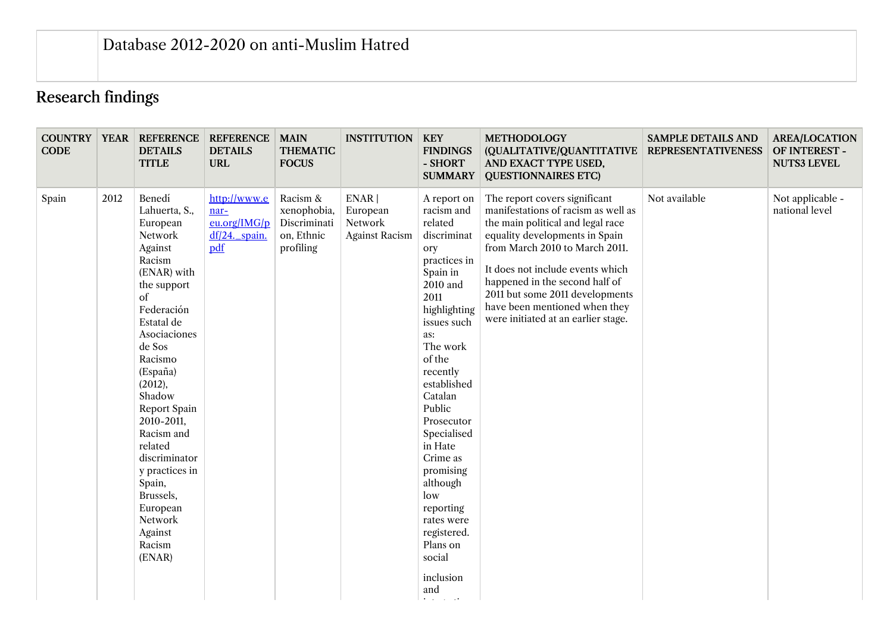## Research findings

| <b>CODE</b> |      | <b>COUNTRY YEAR REFERENCE</b><br><b>DETAILS</b><br><b>TITLE</b>                                                                                                                                                                                                                                                                                                                  | <b>REFERENCE</b><br><b>DETAILS</b><br><b>URL</b>             | <b>MAIN</b><br><b>THEMATIC</b><br><b>FOCUS</b>                     | <b>INSTITUTION</b>                                     | <b>KEY</b><br><b>FINDINGS</b><br>- SHORT<br><b>SUMMARY</b>                                                                                                                                                                                                                                                                                                                                     | <b>METHODOLOGY</b><br>(QUALITATIVE/QUANTITATIVE<br>AND EXACT TYPE USED,<br><b>QUESTIONNAIRES ETC)</b>                                                                                                                                                                                                                                                          | <b>SAMPLE DETAILS AND</b><br><b>REPRESENTATIVENESS</b> | <b>AREA/LOCATION</b><br>OF INTEREST -<br><b>NUTS3 LEVEL</b> |
|-------------|------|----------------------------------------------------------------------------------------------------------------------------------------------------------------------------------------------------------------------------------------------------------------------------------------------------------------------------------------------------------------------------------|--------------------------------------------------------------|--------------------------------------------------------------------|--------------------------------------------------------|------------------------------------------------------------------------------------------------------------------------------------------------------------------------------------------------------------------------------------------------------------------------------------------------------------------------------------------------------------------------------------------------|----------------------------------------------------------------------------------------------------------------------------------------------------------------------------------------------------------------------------------------------------------------------------------------------------------------------------------------------------------------|--------------------------------------------------------|-------------------------------------------------------------|
| Spain       | 2012 | Benedí<br>Lahuerta, S.,<br>European<br>Network<br>Against<br>Racism<br>(ENAR) with<br>the support<br>of<br>Federación<br>Estatal de<br>Asociaciones<br>de Sos<br>Racismo<br>(España)<br>(2012),<br>Shadow<br>Report Spain<br>2010-2011,<br>Racism and<br>related<br>discriminator<br>y practices in<br>Spain,<br>Brussels,<br>European<br>Network<br>Against<br>Racism<br>(ENAR) | http://www.e<br>nar-<br>eu.org/IMG/p<br>df/24._spain.<br>pdf | Racism &<br>xenophobia,<br>Discriminati<br>on, Ethnic<br>profiling | ENAR  <br>European<br>Network<br><b>Against Racism</b> | A report on<br>racism and<br>related<br>discriminat<br>ory<br>practices in<br>Spain in<br>2010 and<br>2011<br>highlighting<br>issues such<br>as:<br>The work<br>of the<br>recently<br>established<br>Catalan<br>Public<br>Prosecutor<br>Specialised<br>in Hate<br>Crime as<br>promising<br>although<br>low<br>reporting<br>rates were<br>registered.<br>Plans on<br>social<br>inclusion<br>and | The report covers significant<br>manifestations of racism as well as<br>the main political and legal race<br>equality developments in Spain<br>from March 2010 to March 2011.<br>It does not include events which<br>happened in the second half of<br>2011 but some 2011 developments<br>have been mentioned when they<br>were initiated at an earlier stage. | Not available                                          | Not applicable -<br>national level                          |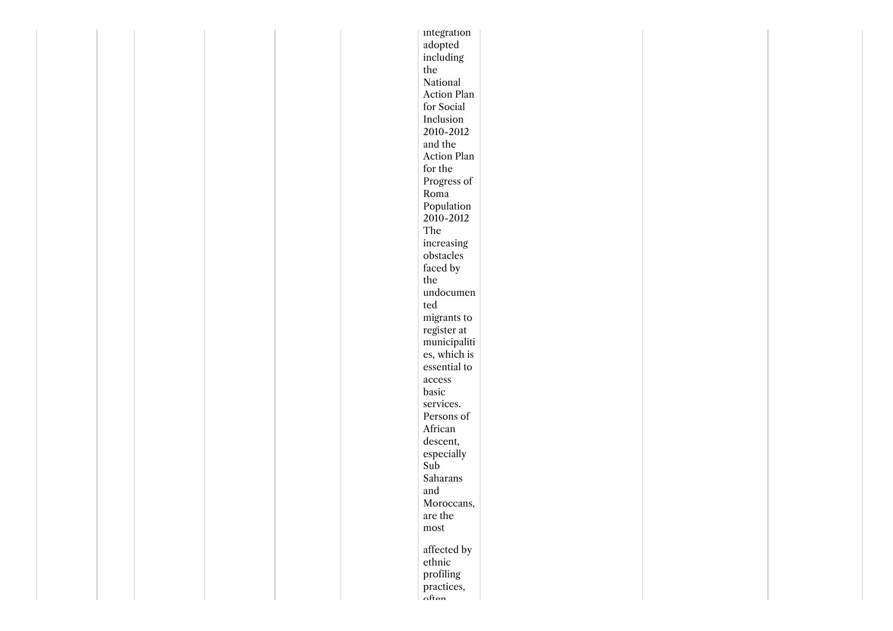|  |  |  | integration               |  |  |
|--|--|--|---------------------------|--|--|
|  |  |  | adopted                   |  |  |
|  |  |  | including                 |  |  |
|  |  |  | the                       |  |  |
|  |  |  | National                  |  |  |
|  |  |  | Action Plan               |  |  |
|  |  |  | for Social                |  |  |
|  |  |  | Inclusion                 |  |  |
|  |  |  | 2010-2012                 |  |  |
|  |  |  | and the                   |  |  |
|  |  |  | Action Plan               |  |  |
|  |  |  | for the                   |  |  |
|  |  |  | Progress of               |  |  |
|  |  |  | Roma                      |  |  |
|  |  |  | Population                |  |  |
|  |  |  | 2010-2012                 |  |  |
|  |  |  | The                       |  |  |
|  |  |  | increasing                |  |  |
|  |  |  | obstacles                 |  |  |
|  |  |  | faced by                  |  |  |
|  |  |  | the                       |  |  |
|  |  |  | undocumen                 |  |  |
|  |  |  | ted                       |  |  |
|  |  |  | migrants to               |  |  |
|  |  |  | register at               |  |  |
|  |  |  | $\mbox{municipaliti}$     |  |  |
|  |  |  | es, which is              |  |  |
|  |  |  | essential to              |  |  |
|  |  |  |                           |  |  |
|  |  |  | $access$<br>basic         |  |  |
|  |  |  |                           |  |  |
|  |  |  | services.                 |  |  |
|  |  |  | Persons of                |  |  |
|  |  |  | African                   |  |  |
|  |  |  | descent,                  |  |  |
|  |  |  | especially                |  |  |
|  |  |  | Sub                       |  |  |
|  |  |  | $\operatorname{Saharans}$ |  |  |
|  |  |  | and                       |  |  |
|  |  |  | Moroccans,                |  |  |
|  |  |  | are the                   |  |  |
|  |  |  | ${\rm most}$              |  |  |
|  |  |  | affected by               |  |  |
|  |  |  |                           |  |  |
|  |  |  | ethnic                    |  |  |
|  |  |  | profiling                 |  |  |
|  |  |  | practices,<br>$n$ ftan    |  |  |
|  |  |  |                           |  |  |